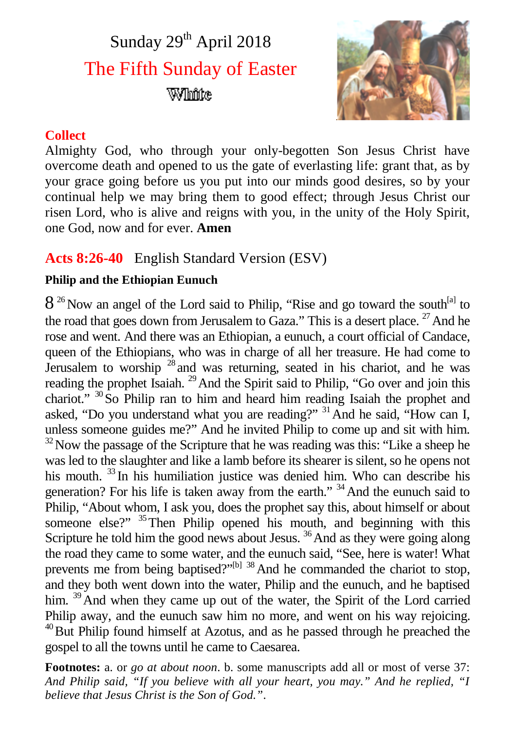# Sunday  $29<sup>th</sup>$  April 2018 The Fifth Sunday of Easter White



## **Collect**

Almighty God, who through your only-begotten Son Jesus Christ have overcome death and opened to us the gate of everlasting life: grant that, as by your grace going before us you put into our minds good desires, so by your continual help we may bring them to good effect; through Jesus Christ our risen Lord, who is alive and reigns with you, in the unity of the Holy Spirit, one God, now and for ever. **Amen**

## **Acts 8:26-40** English Standard Version (ESV)

## **Philip and the Ethiopian Eunuch**

 $8^{26}$  Now an angel of the Lord said to Philip, "Rise and go toward the south<sup>[a]</sup> to the road that goes down from Jerusalem to Gaza." This is a desert place.  $27$  And he rose and went. And there was an Ethiopian, a eunuch, a court official of Candace, queen of the Ethiopians, who was in charge of all her treasure. He had come to Jerusalem to worship  $28$  and was returning, seated in his chariot, and he was reading the prophet Isaiah.<sup>29</sup> And the Spirit said to Philip, "Go over and join this chariot." <sup>30</sup>So Philip ran to him and heard him reading Isaiah the prophet and asked, "Do you understand what you are reading?" <sup>31</sup> And he said, "How can I, unless someone guides me?" And he invited Philip to come up and sit with him.  $32$  Now the passage of the Scripture that he was reading was this: "Like a sheep he was led to the slaughter and like a lamb before its shearer is silent, so he opens not his mouth. <sup>33</sup> In his humiliation justice was denied him. Who can describe his generation? For his life is taken away from the earth."  $34$  And the eunuch said to Philip, "About whom, I ask you, does the prophet say this, about himself or about someone else?"  $35$  Then Philip opened his mouth, and beginning with this Scripture he told him the good news about Jesus.<sup>36</sup> And as they were going along the road they came to some water, and the eunuch said, "See, here is water! What prevents me from being baptised?" $[1]$ <sup>38</sup> And he commanded the chariot to stop, and they both went down into the water, Philip and the eunuch, and he baptised him. <sup>39</sup>And when they came up out of the water, the Spirit of the Lord carried Philip away, and the eunuch saw him no more, and went on his way rejoicing. <sup>40</sup>But Philip found himself at Azotus, and as he passed through he preached the gospel to all the towns until he came to Caesarea.

**Footnotes:** a. or *go at about noon*. b. some manuscripts add all or most of verse 37: *And Philip said, "If you believe with all your heart, you may." And he replied, "I believe that Jesus Christ is the Son of God."*.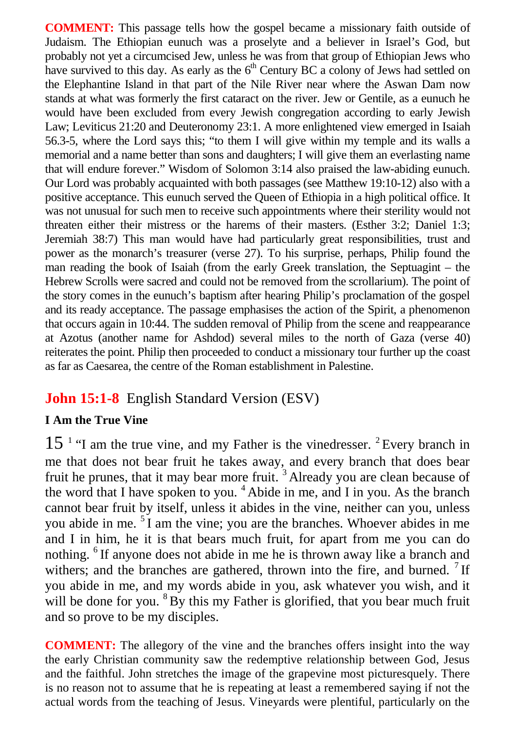**COMMENT:** This passage tells how the gospel became a missionary faith outside of Judaism. The Ethiopian eunuch was a proselyte and a believer in Israel's God, but probably not yet a circumcised Jew, unless he was from that group of Ethiopian Jews who have survived to this day. As early as the  $6<sup>th</sup>$  Century BC a colony of Jews had settled on the Elephantine Island in that part of the Nile River near where the Aswan Dam now stands at what was formerly the first cataract on the river. Jew or Gentile, as a eunuch he would have been excluded from every Jewish congregation according to early Jewish Law; Leviticus 21:20 and Deuteronomy 23:1. A more enlightened view emerged in Isaiah 56.3-5, where the Lord says this; "to them I will give within my temple and its walls a memorial and a name better than sons and daughters; I will give them an everlasting name that will endure forever." Wisdom of Solomon 3:14 also praised the law-abiding eunuch. Our Lord was probably acquainted with both passages (see Matthew 19:10-12) also with a positive acceptance. This eunuch served the Queen of Ethiopia in a high political office. It was not unusual for such men to receive such appointments where their sterility would not threaten either their mistress or the harems of their masters. (Esther 3:2; Daniel 1:3; Jeremiah 38:7) This man would have had particularly great responsibilities, trust and power as the monarch's treasurer (verse 27). To his surprise, perhaps, Philip found the man reading the book of Isaiah (from the early Greek translation, the Septuagint – the Hebrew Scrolls were sacred and could not be removed from the scrollarium). The point of the story comes in the eunuch's baptism after hearing Philip's proclamation of the gospel and its ready acceptance. The passage emphasises the action of the Spirit, a phenomenon that occurs again in 10:44. The sudden removal of Philip from the scene and reappearance at Azotus (another name for Ashdod) several miles to the north of Gaza (verse 40) reiterates the point. Philip then proceeded to conduct a missionary tour further up the coast as far as Caesarea, the centre of the Roman establishment in Palestine.

## **John 15:1-8** English Standard Version (ESV)

#### **I Am the True Vine**

 $15<sup>-1</sup>$  "I am the true vine, and my Father is the vinedresser. <sup>2</sup> Every branch in me that does not bear fruit he takes away, and every branch that does bear fruit he prunes, that it may bear more fruit. <sup>3</sup> Already you are clean because of the word that I have spoken to you. <sup>4</sup> Abide in me, and I in you. As the branch cannot bear fruit by itself, unless it abides in the vine, neither can you, unless you abide in me. <sup>5</sup>I am the vine; you are the branches. Whoever abides in me and I in him, he it is that bears much fruit, for apart from me you can do nothing. <sup>6</sup> If anyone does not abide in me he is thrown away like a branch and withers; and the branches are gathered, thrown into the fire, and burned.  $7$  If you abide in me, and my words abide in you, ask whatever you wish, and it will be done for you. <sup>8</sup>By this my Father is glorified, that you bear much fruit and so prove to be my disciples.

**COMMENT:** The allegory of the vine and the branches offers insight into the way the early Christian community saw the redemptive relationship between God, Jesus and the faithful. John stretches the image of the grapevine most picturesquely. There is no reason not to assume that he is repeating at least a remembered saying if not the actual words from the teaching of Jesus. Vineyards were plentiful, particularly on the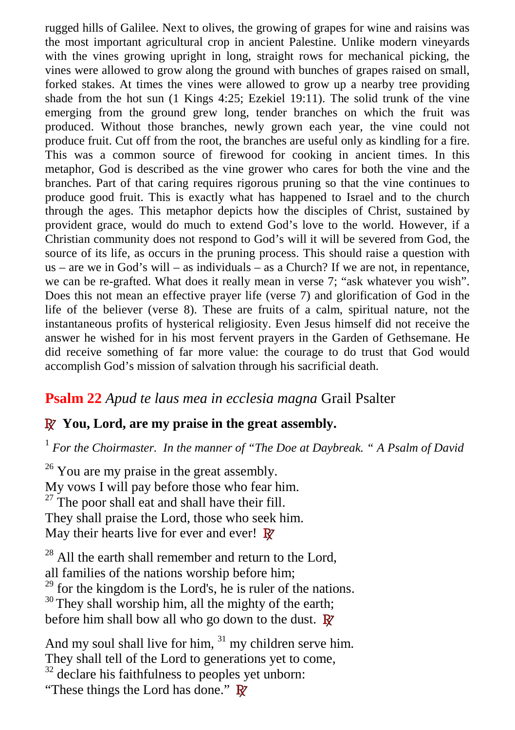rugged hills of Galilee. Next to olives, the growing of grapes for wine and raisins was the most important agricultural crop in ancient Palestine. Unlike modern vineyards with the vines growing upright in long, straight rows for mechanical picking, the vines were allowed to grow along the ground with bunches of grapes raised on small, forked stakes. At times the vines were allowed to grow up a nearby tree providing shade from the hot sun (1 Kings 4:25; Ezekiel 19:11). The solid trunk of the vine emerging from the ground grew long, tender branches on which the fruit was produced. Without those branches, newly grown each year, the vine could not produce fruit. Cut off from the root, the branches are useful only as kindling for a fire. This was a common source of firewood for cooking in ancient times. In this metaphor, God is described as the vine grower who cares for both the vine and the branches. Part of that caring requires rigorous pruning so that the vine continues to produce good fruit. This is exactly what has happened to Israel and to the church through the ages. This metaphor depicts how the disciples of Christ, sustained by provident grace, would do much to extend God's love to the world. However, if a Christian community does not respond to God's will it will be severed from God, the source of its life, as occurs in the pruning process. This should raise a question with  $us - are we in God's will - as individuals - as a Church? If we are not, in repentance,$ we can be re-grafted. What does it really mean in verse 7; "ask whatever you wish". Does this not mean an effective prayer life (verse 7) and glorification of God in the life of the believer (verse 8). These are fruits of a calm, spiritual nature, not the instantaneous profits of hysterical religiosity. Even Jesus himself did not receive the answer he wished for in his most fervent prayers in the Garden of Gethsemane. He did receive something of far more value: the courage to do trust that God would accomplish God's mission of salvation through his sacrificial death.

## **Psalm 22** *Apud te laus mea in ecclesia magna* Grail Psalter

#### **R You, Lord, are my praise in the great assembly.**

1 *For the Choirmaster. In the manner of "The Doe at Daybreak. " A Psalm of David*

 $26$  You are my praise in the great assembly. My vows I will pay before those who fear him.  $27$  The poor shall eat and shall have their fill. They shall praise the Lord, those who seek him. May their hearts live for ever and ever! **R**

<sup>28</sup> All the earth shall remember and return to the Lord, all families of the nations worship before him;  $29$  for the kingdom is the Lord's, he is ruler of the nations. <sup>30</sup> They shall worship him, all the mighty of the earth; before him shall bow all who go down to the dust. **R**

And my soul shall live for him,  $31$  my children serve him. They shall tell of the Lord to generations yet to come,  $32$  declare his faithfulness to peoples yet unborn: "These things the Lord has done." **R**